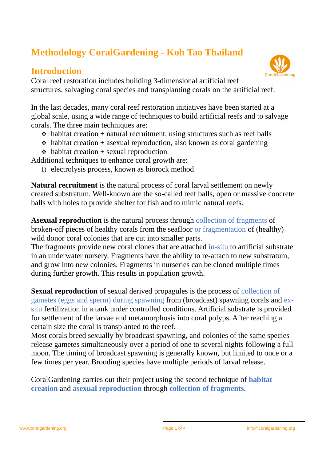# **Methodology CoralGardening - Koh Tao Thailand**

#### **Introduction**

Coral reef restoration includes building 3-dimensional artificial reef structures, salvaging coral species and transplanting corals on the artificial reef.

In the last decades, many coral reef restoration initiatives have been started at a global scale, using a wide range of techniques to build artificial reefs and to salvage corals. The three main techniques are:

- $\triangle$  habitat creation + natural recruitment, using structures such as reef balls
- $\cdot$  habitat creation + asexual reproduction, also known as coral gardening
- $\triangle$  habitat creation + sexual reproduction

Additional techniques to enhance coral growth are:

1) electrolysis process, known as biorock method

**Natural recruitment** is the natural process of coral larval settlement on newly created substratum. Well-known are the so-called reef balls, open or massive concrete balls with holes to provide shelter for fish and to mimic natural reefs.

**Asexual reproduction** is the natural process through collection of fragments of broken-off pieces of healthy corals from the seafloor or fragmentation of (healthy) wild donor coral colonies that are cut into smaller parts.

The fragments provide new coral clones that are attached in-situ to artificial substrate in an underwater nursery. Fragments have the ability to re-attach to new substratum, and grow into new colonies. Fragments in nurseries can be cloned multiple times during further growth. This results in population growth.

**Sexual reproduction** of sexual derived propagules is the process of collection of gametes (eggs and sperm) during spawning from (broadcast) spawning corals and exsitu fertilization in a tank under controlled conditions. Artificial substrate is provided for settlement of the larvae and metamorphosis into coral polyps. After reaching a certain size the coral is transplanted to the reef.

Most corals breed sexually by broadcast spawning, and colonies of the same species release gametes simultaneously over a period of one to several nights following a full moon. The timing of broadcast spawning is generally known, but limited to once or a few times per year. Brooding species have multiple periods of larval release.

CoralGardening carries out their project using the second technique of **habitat creation** and **asexual reproduction** through **collection of fragments.**

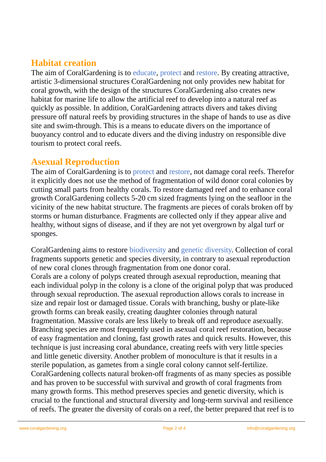## **Habitat creation**

The aim of CoralGardening is to educate, protect and restore. By creating attractive, artistic 3-dimensional structures CoralGardening not only provides new habitat for coral growth, with the design of the structures CoralGardening also creates new habitat for marine life to allow the artificial reef to develop into a natural reef as quickly as possible. In addition, CoralGardening attracts divers and takes diving pressure off natural reefs by providing structures in the shape of hands to use as dive site and swim-through. This is a means to educate divers on the importance of buoyancy control and to educate divers and the diving industry on responsible dive tourism to protect coral reefs.

### **Asexual Reproduction**

The aim of CoralGardening is to protect and restore, not damage coral reefs. Therefor it explicitly does not use the method of fragmentation of wild donor coral colonies by cutting small parts from healthy corals. To restore damaged reef and to enhance coral growth CoralGardening collects 5-20 cm sized fragments lying on the seafloor in the vicinity of the new habitat structure. The fragments are pieces of corals broken off by storms or human disturbance. Fragments are collected only if they appear alive and healthy, without signs of disease, and if they are not yet overgrown by algal turf or sponges.

CoralGardening aims to restore biodiversity and genetic diversity. Collection of coral fragments supports genetic and species diversity, in contrary to asexual reproduction of new coral clones through fragmentation from one donor coral. Corals are a colony of polyps created through asexual reproduction, meaning that each individual polyp in the colony is a clone of the original polyp that was produced through sexual reproduction. The asexual reproduction allows corals to increase in size and repair lost or damaged tissue. Corals with branching, bushy or plate-like growth forms can break easily, creating daughter colonies through natural fragmentation. Massive corals are less likely to break off and reproduce asexually. Branching species are most frequently used in asexual coral reef restoration, because of easy fragmentation and cloning, fast growth rates and quick results. However, this technique is just increasing coral abundance, creating reefs with very little species and little genetic diversity. Another problem of monoculture is that it results in a sterile population, as gametes from a single coral colony cannot self-fertilize. CoralGardening collects natural broken-off fragments of as many species as possible and has proven to be successful with survival and growth of coral fragments from many growth forms. This method preserves species and genetic diversity, which is crucial to the functional and structural diversity and long-term survival and resilience of reefs. The greater the diversity of corals on a reef, the better prepared that reef is to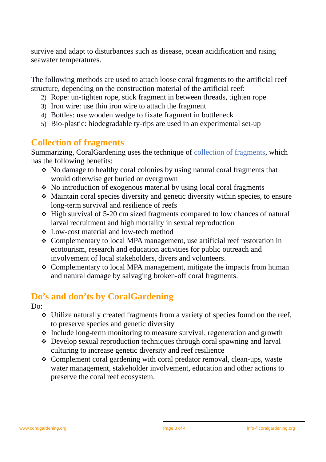survive and adapt to disturbances such as disease, ocean acidification and rising seawater temperatures.

The following methods are used to attach loose coral fragments to the artificial reef structure, depending on the construction material of the artificial reef:

- 2) Rope: un-tighten rope, stick fragment in between threads, tighten rope
- 3) Iron wire: use thin iron wire to attach the fragment
- 4) Bottles: use wooden wedge to fixate fragment in bottleneck
- 5) Bio-plastic: biodegradable ty-rips are used in an experimental set-up

## **Collection of fragments**

Summarizing, CoralGardening uses the technique of collection of fragments, which has the following benefits:

- No damage to healthy coral colonies by using natural coral fragments that would otherwise get buried or overgrown
- $\cdot$  No introduction of exogenous material by using local coral fragments
- Maintain coral species diversity and genetic diversity within species, to ensure long-term survival and resilience of reefs
- High survival of 5-20 cm sized fragments compared to low chances of natural larval recruitment and high mortality in sexual reproduction
- Low-cost material and low-tech method
- Complementary to local MPA management, use artificial reef restoration in ecotourism, research and education activities for public outreach and involvement of local stakeholders, divers and volunteers.
- Complementary to local MPA management, mitigate the impacts from human and natural damage by salvaging broken-off coral fragments.

# **Do's and don'ts by CoralGardening**

Do:

- Utilize naturally created fragments from a variety of species found on the reef, to preserve species and genetic diversity
- $\div$  Include long-term monitoring to measure survival, regeneration and growth
- Develop sexual reproduction techniques through coral spawning and larval culturing to increase genetic diversity and reef resilience
- Complement coral gardening with coral predator removal, clean-ups, waste water management, stakeholder involvement, education and other actions to preserve the coral reef ecosystem.